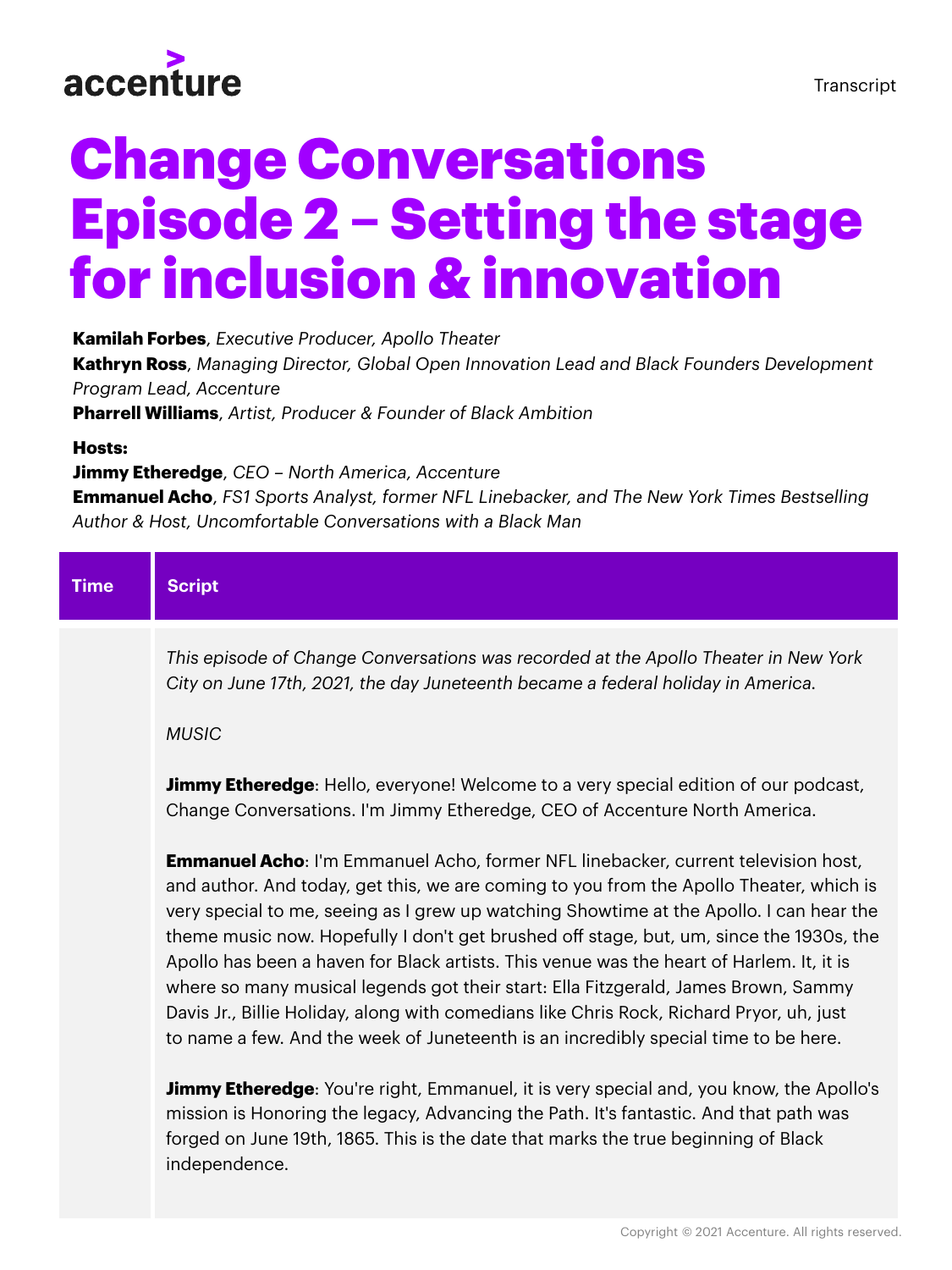

# Change Conversations Episode 2 – Setting the stage for inclusion & innovation

**Kamilah Forbes**, *Executive Producer, Apollo Theater*

**Kathryn Ross**, *Managing Director, Global Open Innovation Lead and Black Founders Development Program Lead, Accenture*

**Pharrell Williams**, *Artist, Producer & Founder of Black Ambition*

# **Hosts:**

# **Jimmy Etheredge**, *CEO – North America, Accenture*

**Emmanuel Acho**, *FS1 Sports Analyst, former NFL Linebacker, and The New York Times Bestselling Author & Host, Uncomfortable Conversations with a Black Man*

| <b>Time</b> | <b>Script</b>                                                                                                                                                                                                                                                                                                                                                                                                                                                                                                                                                                                                                                                                                                                                                                                                                    |
|-------------|----------------------------------------------------------------------------------------------------------------------------------------------------------------------------------------------------------------------------------------------------------------------------------------------------------------------------------------------------------------------------------------------------------------------------------------------------------------------------------------------------------------------------------------------------------------------------------------------------------------------------------------------------------------------------------------------------------------------------------------------------------------------------------------------------------------------------------|
|             | This episode of Change Conversations was recorded at the Apollo Theater in New York<br>City on June 17th, 2021, the day Juneteenth became a federal holiday in America.<br><b>MUSIC</b>                                                                                                                                                                                                                                                                                                                                                                                                                                                                                                                                                                                                                                          |
|             | <b>Jimmy Etheredge:</b> Hello, everyone! Welcome to a very special edition of our podcast,<br>Change Conversations. I'm Jimmy Etheredge, CEO of Accenture North America.                                                                                                                                                                                                                                                                                                                                                                                                                                                                                                                                                                                                                                                         |
|             | <b>Emmanuel Acho:</b> I'm Emmanuel Acho, former NFL linebacker, current television host,<br>and author. And today, get this, we are coming to you from the Apollo Theater, which is<br>very special to me, seeing as I grew up watching Showtime at the Apollo. I can hear the<br>theme music now. Hopefully I don't get brushed off stage, but, um, since the 1930s, the<br>Apollo has been a haven for Black artists. This venue was the heart of Harlem. It, it is<br>where so many musical legends got their start: Ella Fitzgerald, James Brown, Sammy<br>Davis Jr., Billie Holiday, along with comedians like Chris Rock, Richard Pryor, uh, just<br>to name a few. And the week of Juneteenth is an incredibly special time to be here.<br>s de la Martia Villa Escasa al Nota de la Catalació de la collega de la Martín |

**Jimmy Etheredge**: You're right, Emmanuel, it is very special and, you know, the Apollo's mission is Honoring the legacy, Advancing the Path. It's fantastic. And that path was forged on June 19th, 1865. This is the date that marks the true beginning of Black independence.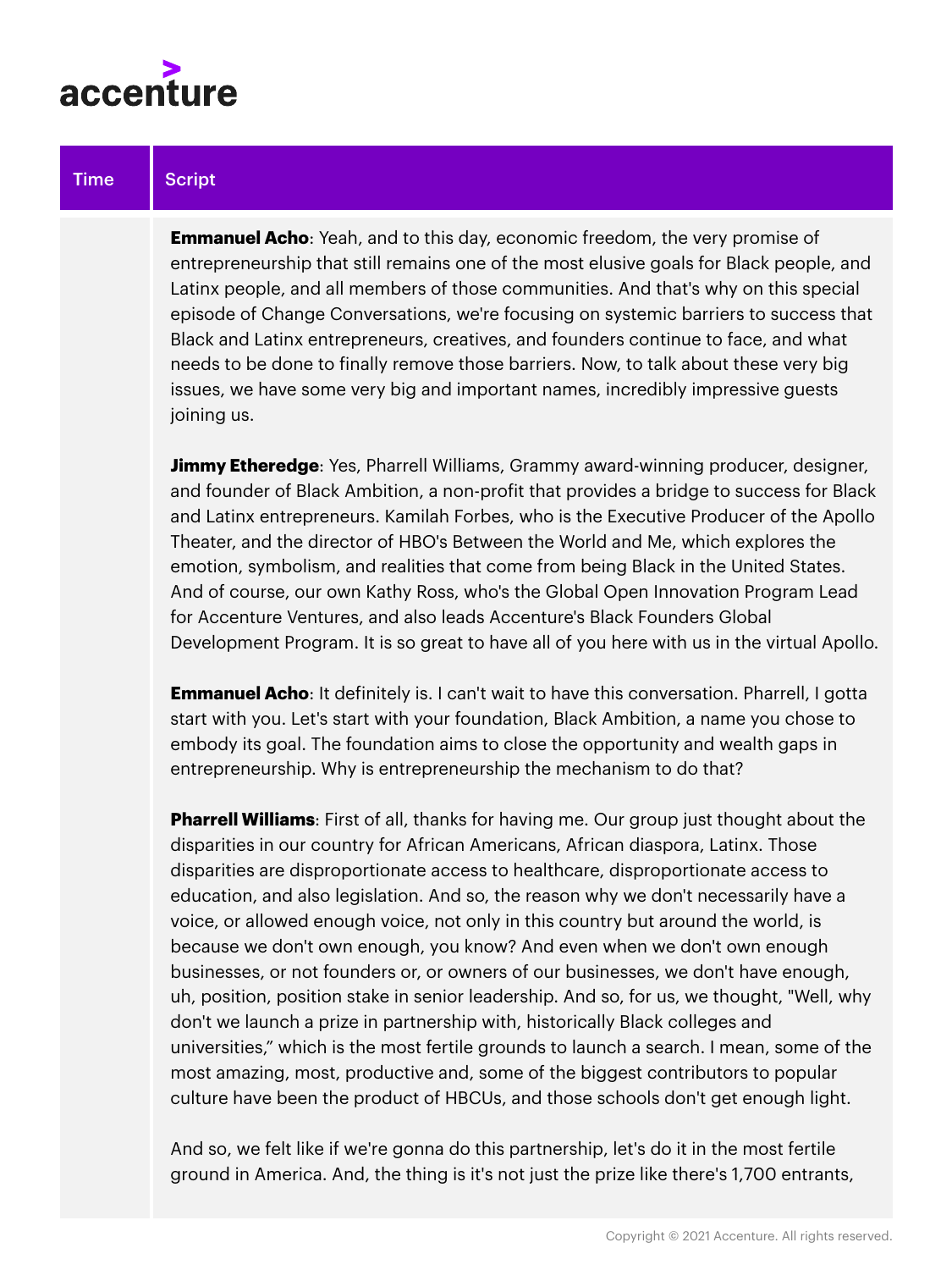

**Emmanuel Acho**: Yeah, and to this day, economic freedom, the very promise of entrepreneurship that still remains one of the most elusive goals for Black people, and Latinx people, and all members of those communities. And that's why on this special episode of Change Conversations, we're focusing on systemic barriers to success that Black and Latinx entrepreneurs, creatives, and founders continue to face, and what needs to be done to finally remove those barriers. Now, to talk about these very big issues, we have some very big and important names, incredibly impressive guests joining us.

**Jimmy Etheredge**: Yes, Pharrell Williams, Grammy award-winning producer, designer, and founder of Black Ambition, a non-profit that provides a bridge to success for Black and Latinx entrepreneurs. Kamilah Forbes, who is the Executive Producer of the Apollo Theater, and the director of HBO's Between the World and Me, which explores the emotion, symbolism, and realities that come from being Black in the United States. And of course, our own Kathy Ross, who's the Global Open Innovation Program Lead for Accenture Ventures, and also leads Accenture's Black Founders Global Development Program. It is so great to have all of you here with us in the virtual Apollo.

**Emmanuel Acho:** It definitely is. I can't wait to have this conversation. Pharrell, I gotta start with you. Let's start with your foundation, Black Ambition, a name you chose to embody its goal. The foundation aims to close the opportunity and wealth gaps in entrepreneurship. Why is entrepreneurship the mechanism to do that?

**Pharrell Williams**: First of all, thanks for having me. Our group just thought about the disparities in our country for African Americans, African diaspora, Latinx. Those disparities are disproportionate access to healthcare, disproportionate access to education, and also legislation. And so, the reason why we don't necessarily have a voice, or allowed enough voice, not only in this country but around the world, is because we don't own enough, you know? And even when we don't own enough businesses, or not founders or, or owners of our businesses, we don't have enough, uh, position, position stake in senior leadership. And so, for us, we thought, "Well, why don't we launch a prize in partnership with, historically Black colleges and universities," which is the most fertile grounds to launch a search. I mean, some of the most amazing, most, productive and, some of the biggest contributors to popular culture have been the product of HBCUs, and those schools don't get enough light.

And so, we felt like if we're gonna do this partnership, let's do it in the most fertile ground in America. And, the thing is it's not just the prize like there's 1,700 entrants,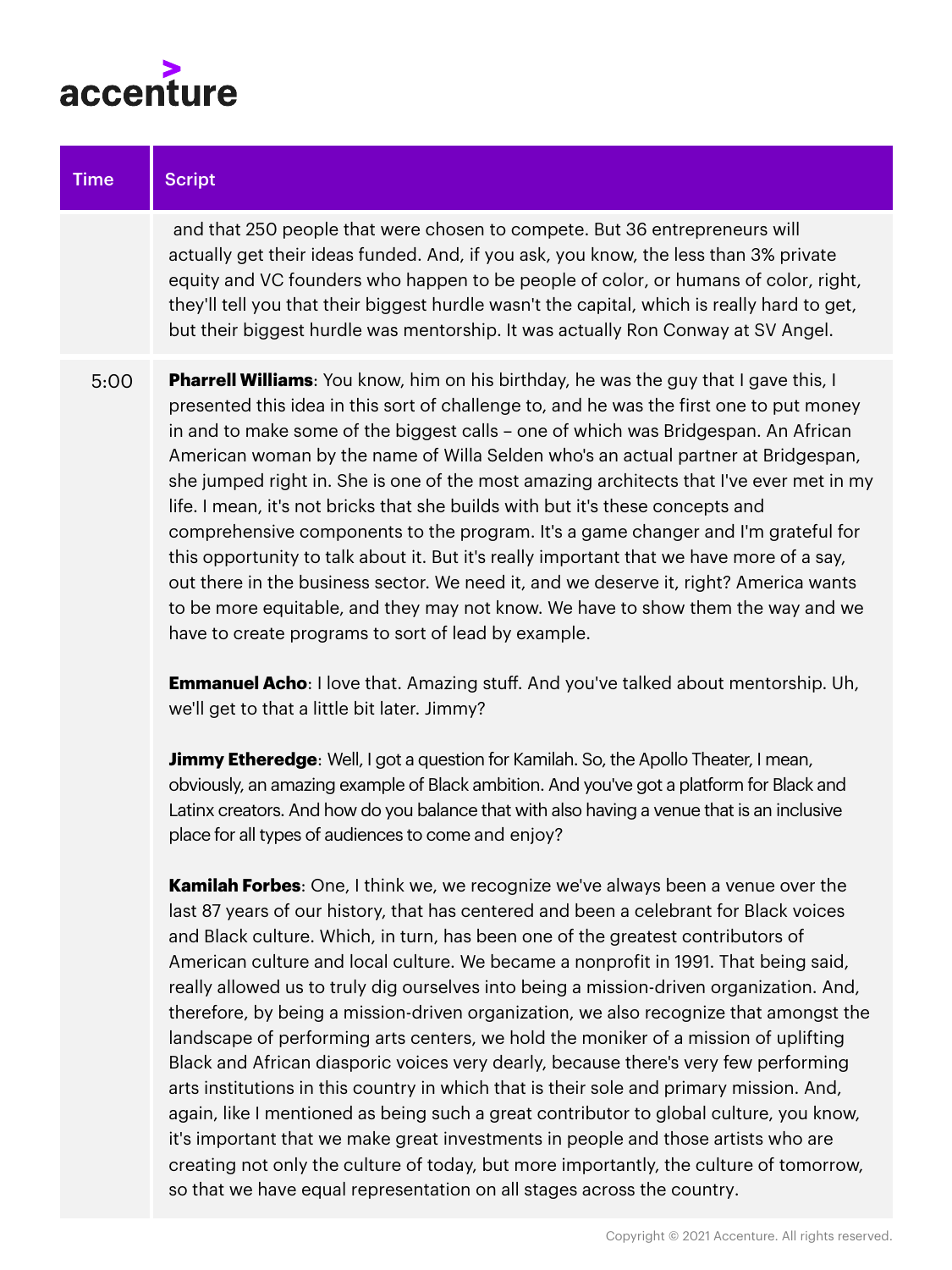

| <b>Time</b> | <b>Script</b>                                                                                                                                                                                                                                                                                                                                                                                                                                                                                                                                                                                                                                                                                                                                                                                                                                                                                                                                                       |
|-------------|---------------------------------------------------------------------------------------------------------------------------------------------------------------------------------------------------------------------------------------------------------------------------------------------------------------------------------------------------------------------------------------------------------------------------------------------------------------------------------------------------------------------------------------------------------------------------------------------------------------------------------------------------------------------------------------------------------------------------------------------------------------------------------------------------------------------------------------------------------------------------------------------------------------------------------------------------------------------|
|             | and that 250 people that were chosen to compete. But 36 entrepreneurs will<br>actually get their ideas funded. And, if you ask, you know, the less than 3% private<br>equity and VC founders who happen to be people of color, or humans of color, right,<br>they'll tell you that their biggest hurdle wasn't the capital, which is really hard to get,<br>but their biggest hurdle was mentorship. It was actually Ron Conway at SV Angel.                                                                                                                                                                                                                                                                                                                                                                                                                                                                                                                        |
| 5:00        | <b>Pharrell Williams:</b> You know, him on his birthday, he was the guy that I gave this, I<br>presented this idea in this sort of challenge to, and he was the first one to put money<br>in and to make some of the biggest calls - one of which was Bridgespan. An African<br>American woman by the name of Willa Selden who's an actual partner at Bridgespan,<br>she jumped right in. She is one of the most amazing architects that I've ever met in my<br>life. I mean, it's not bricks that she builds with but it's these concepts and<br>comprehensive components to the program. It's a game changer and I'm grateful for<br>this opportunity to talk about it. But it's really important that we have more of a say,<br>out there in the business sector. We need it, and we deserve it, right? America wants<br>to be more equitable, and they may not know. We have to show them the way and we<br>have to create programs to sort of lead by example. |
|             | <b>Emmanuel Acho:</b> I love that. Amazing stuff. And you've talked about mentorship. Uh,<br>we'll get to that a little bit later. Jimmy?                                                                                                                                                                                                                                                                                                                                                                                                                                                                                                                                                                                                                                                                                                                                                                                                                           |

**Jimmy Etheredge**: Well, I got a question for Kamilah. So, the Apollo Theater, I mean, obviously, an amazing example of Black ambition. And you've got a platform for Black and Latinx creators. And how do you balance that with also having a venue that is an inclusive place for all types of audiences to come and enjoy?

**Kamilah Forbes**: One, I think we, we recognize we've always been a venue over the last 87 years of our history, that has centered and been a celebrant for Black voices and Black culture. Which, in turn, has been one of the greatest contributors of American culture and local culture. We became a nonprofit in 1991. That being said, really allowed us to truly dig ourselves into being a mission-driven organization. And, therefore, by being a mission-driven organization, we also recognize that amongst the landscape of performing arts centers, we hold the moniker of a mission of uplifting Black and African diasporic voices very dearly, because there's very few performing arts institutions in this country in which that is their sole and primary mission. And, again, like I mentioned as being such a great contributor to global culture, you know, it's important that we make great investments in people and those artists who are creating not only the culture of today, but more importantly, the culture of tomorrow, so that we have equal representation on all stages across the country.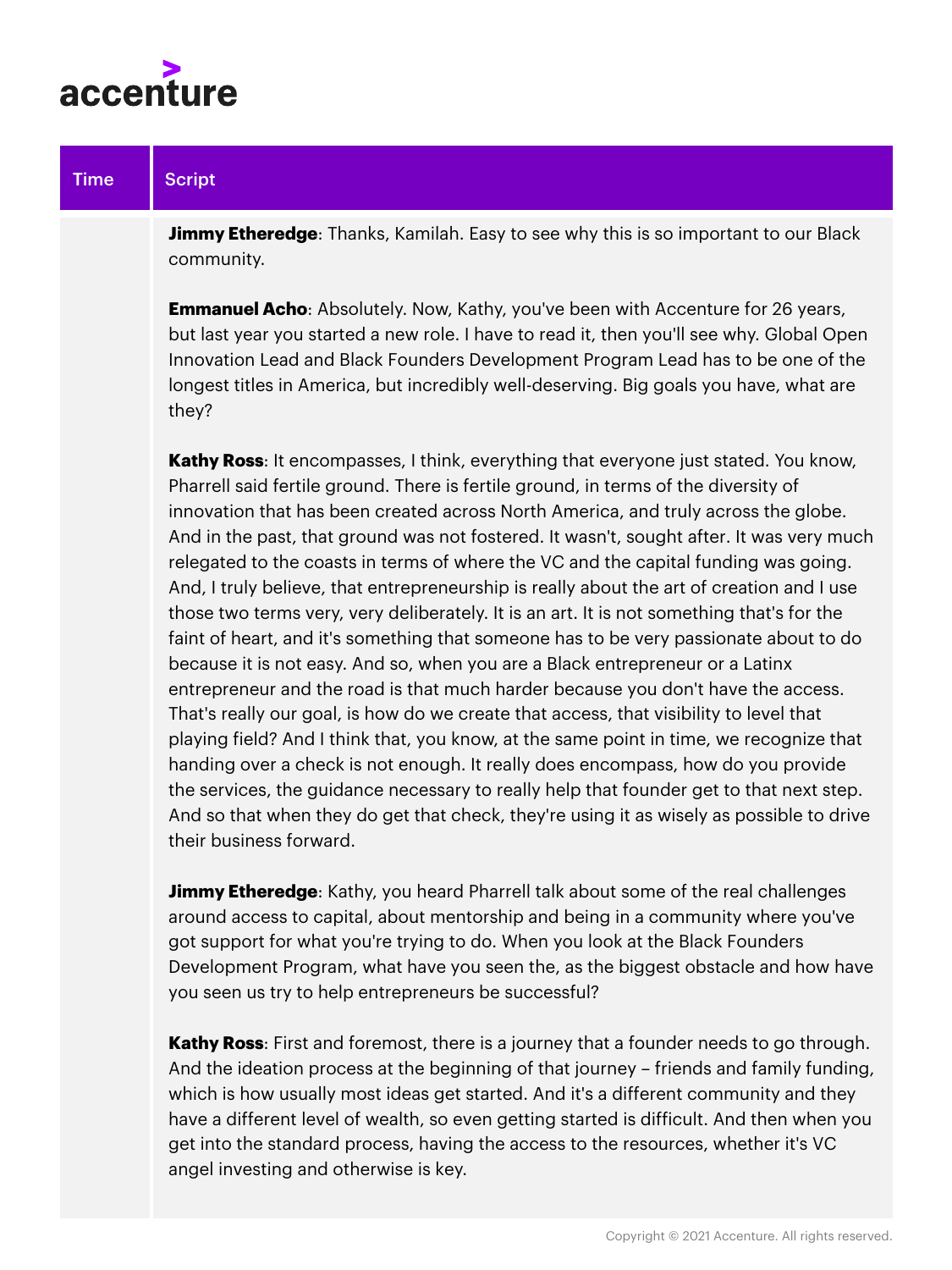

**Jimmy Etheredge**: Thanks, Kamilah. Easy to see why this is so important to our Black community.

**Emmanuel Acho:** Absolutely. Now, Kathy, you've been with Accenture for 26 years, but last year you started a new role. I have to read it, then you'll see why. Global Open Innovation Lead and Black Founders Development Program Lead has to be one of the longest titles in America, but incredibly well-deserving. Big goals you have, what are they?

**Kathy Ross**: It encompasses, I think, everything that everyone just stated. You know, Pharrell said fertile ground. There is fertile ground, in terms of the diversity of innovation that has been created across North America, and truly across the globe. And in the past, that ground was not fostered. It wasn't, sought after. It was very much relegated to the coasts in terms of where the VC and the capital funding was going. And, I truly believe, that entrepreneurship is really about the art of creation and I use those two terms very, very deliberately. It is an art. It is not something that's for the faint of heart, and it's something that someone has to be very passionate about to do because it is not easy. And so, when you are a Black entrepreneur or a Latinx entrepreneur and the road is that much harder because you don't have the access. That's really our goal, is how do we create that access, that visibility to level that playing field? And I think that, you know, at the same point in time, we recognize that handing over a check is not enough. It really does encompass, how do you provide the services, the guidance necessary to really help that founder get to that next step. And so that when they do get that check, they're using it as wisely as possible to drive their business forward.

**Jimmy Etheredge**: Kathy, you heard Pharrell talk about some of the real challenges around access to capital, about mentorship and being in a community where you've got support for what you're trying to do. When you look at the Black Founders Development Program, what have you seen the, as the biggest obstacle and how have you seen us try to help entrepreneurs be successful?

**Kathy Ross**: First and foremost, there is a journey that a founder needs to go through. And the ideation process at the beginning of that journey – friends and family funding, which is how usually most ideas get started. And it's a different community and they have a different level of wealth, so even getting started is difficult. And then when you get into the standard process, having the access to the resources, whether it's VC angel investing and otherwise is key.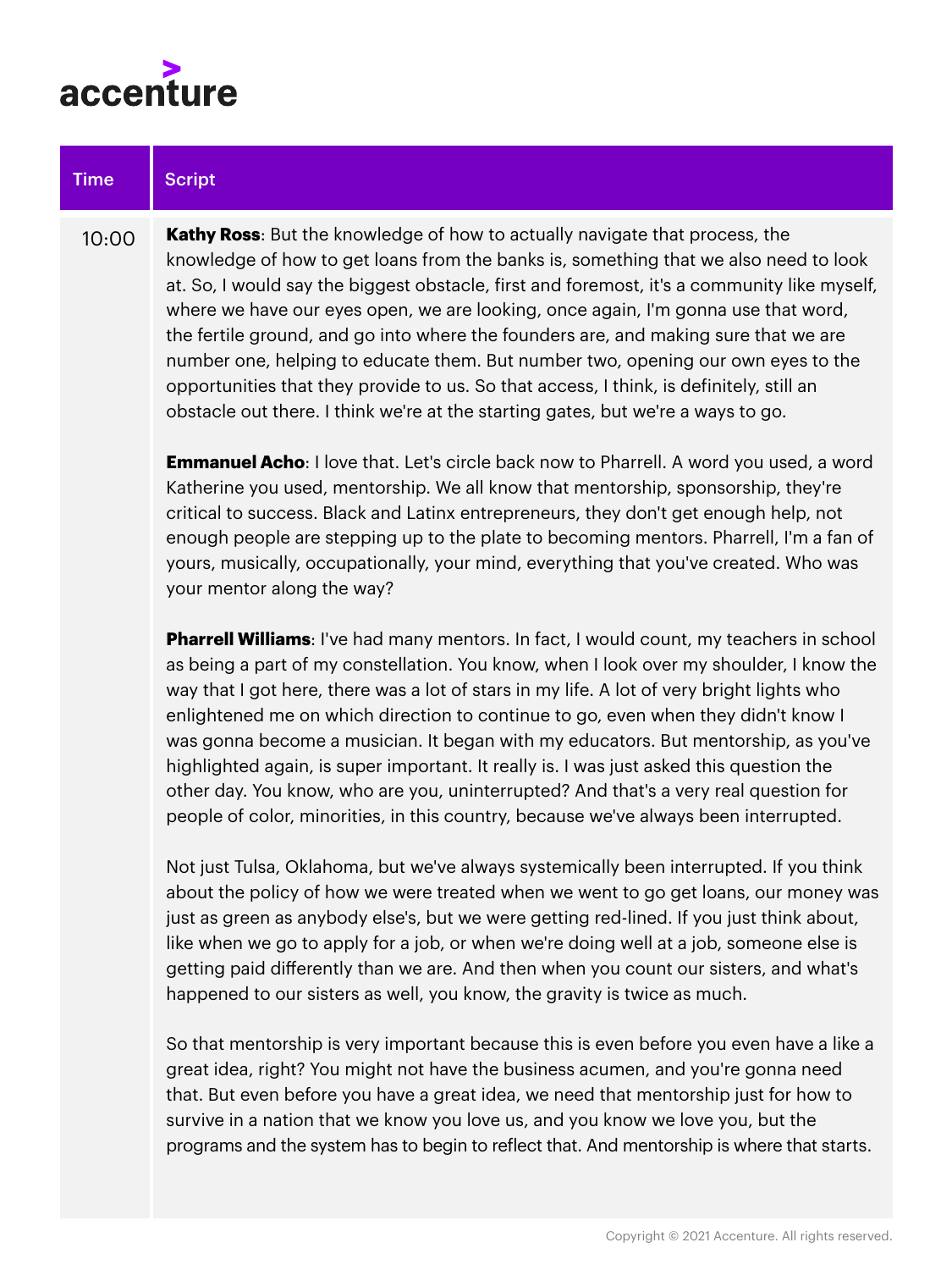

your mentor along the way?

| Time  | <b>Script</b>                                                                                                                                                                                                                                                                                                                                                                                                                                                                                                                                                                                                                                                                                                            |
|-------|--------------------------------------------------------------------------------------------------------------------------------------------------------------------------------------------------------------------------------------------------------------------------------------------------------------------------------------------------------------------------------------------------------------------------------------------------------------------------------------------------------------------------------------------------------------------------------------------------------------------------------------------------------------------------------------------------------------------------|
| 10:00 | <b>Kathy Ross:</b> But the knowledge of how to actually navigate that process, the<br>knowledge of how to get loans from the banks is, something that we also need to look<br>at. So, I would say the biggest obstacle, first and foremost, it's a community like myself,<br>where we have our eyes open, we are looking, once again, I'm gonna use that word,<br>the fertile ground, and go into where the founders are, and making sure that we are<br>number one, helping to educate them. But number two, opening our own eyes to the<br>opportunities that they provide to us. So that access, I think, is definitely, still an<br>obstacle out there. I think we're at the starting gates, but we're a ways to go. |
|       | <b>Emmanuel Acho:</b> I love that. Let's circle back now to Pharrell. A word you used, a word<br>Katherine you used, mentorship. We all know that mentorship, sponsorship, they're<br>critical to success. Black and Latinx entrepreneurs, they don't get enough help, not<br>enough people are stepping up to the plate to becoming mentors. Pharrell, I'm a fan of                                                                                                                                                                                                                                                                                                                                                     |

**Pharrell Williams**: I've had many mentors. In fact, I would count, my teachers in school as being a part of my constellation. You know, when I look over my shoulder, I know the way that I got here, there was a lot of stars in my life. A lot of very bright lights who enlightened me on which direction to continue to go, even when they didn't know I was gonna become a musician. It began with my educators. But mentorship, as you've highlighted again, is super important. It really is. I was just asked this question the other day. You know, who are you, uninterrupted? And that's a very real question for people of color, minorities, in this country, because we've always been interrupted.

yours, musically, occupationally, your mind, everything that you've created. Who was

Not just Tulsa, Oklahoma, but we've always systemically been interrupted. If you think about the policy of how we were treated when we went to go get loans, our money was just as green as anybody else's, but we were getting red-lined. If you just think about, like when we go to apply for a job, or when we're doing well at a job, someone else is getting paid differently than we are. And then when you count our sisters, and what's happened to our sisters as well, you know, the gravity is twice as much.

So that mentorship is very important because this is even before you even have a like a great idea, right? You might not have the business acumen, and you're gonna need that. But even before you have a great idea, we need that mentorship just for how to survive in a nation that we know you love us, and you know we love you, but the programs and the system has to begin to reflect that. And mentorship is where that starts.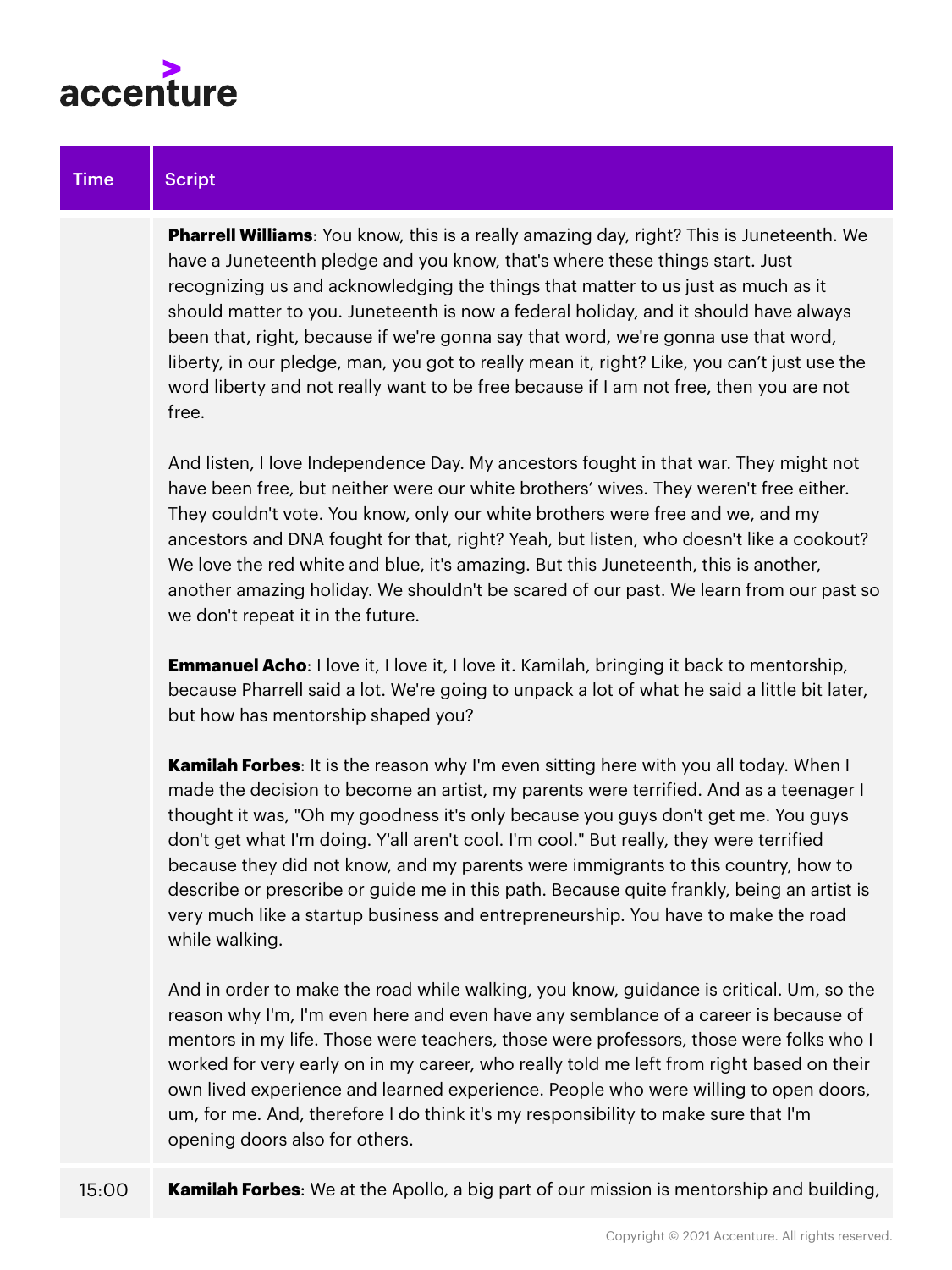

**Pharrell Williams**: You know, this is a really amazing day, right? This is Juneteenth. We have a Juneteenth pledge and you know, that's where these things start. Just recognizing us and acknowledging the things that matter to us just as much as it should matter to you. Juneteenth is now a federal holiday, and it should have always been that, right, because if we're gonna say that word, we're gonna use that word, liberty, in our pledge, man, you got to really mean it, right? Like, you can't just use the word liberty and not really want to be free because if I am not free, then you are not free.

And listen, I love Independence Day. My ancestors fought in that war. They might not have been free, but neither were our white brothers' wives. They weren't free either. They couldn't vote. You know, only our white brothers were free and we, and my ancestors and DNA fought for that, right? Yeah, but listen, who doesn't like a cookout? We love the red white and blue, it's amazing. But this Juneteenth, this is another, another amazing holiday. We shouldn't be scared of our past. We learn from our past so we don't repeat it in the future.

**Emmanuel Acho**: I love it, I love it, I love it. Kamilah, bringing it back to mentorship, because Pharrell said a lot. We're going to unpack a lot of what he said a little bit later, but how has mentorship shaped you?

**Kamilah Forbes**: It is the reason why I'm even sitting here with you all today. When I made the decision to become an artist, my parents were terrified. And as a teenager I thought it was, "Oh my goodness it's only because you guys don't get me. You guys don't get what I'm doing. Y'all aren't cool. I'm cool." But really, they were terrified because they did not know, and my parents were immigrants to this country, how to describe or prescribe or guide me in this path. Because quite frankly, being an artist is very much like a startup business and entrepreneurship. You have to make the road while walking.

And in order to make the road while walking, you know, guidance is critical. Um, so the reason why I'm, I'm even here and even have any semblance of a career is because of mentors in my life. Those were teachers, those were professors, those were folks who I worked for very early on in my career, who really told me left from right based on their own lived experience and learned experience. People who were willing to open doors, um, for me. And, therefore I do think it's my responsibility to make sure that I'm opening doors also for others.

15:00 **Kamilah Forbes**: We at the Apollo, a big part of our mission is mentorship and building,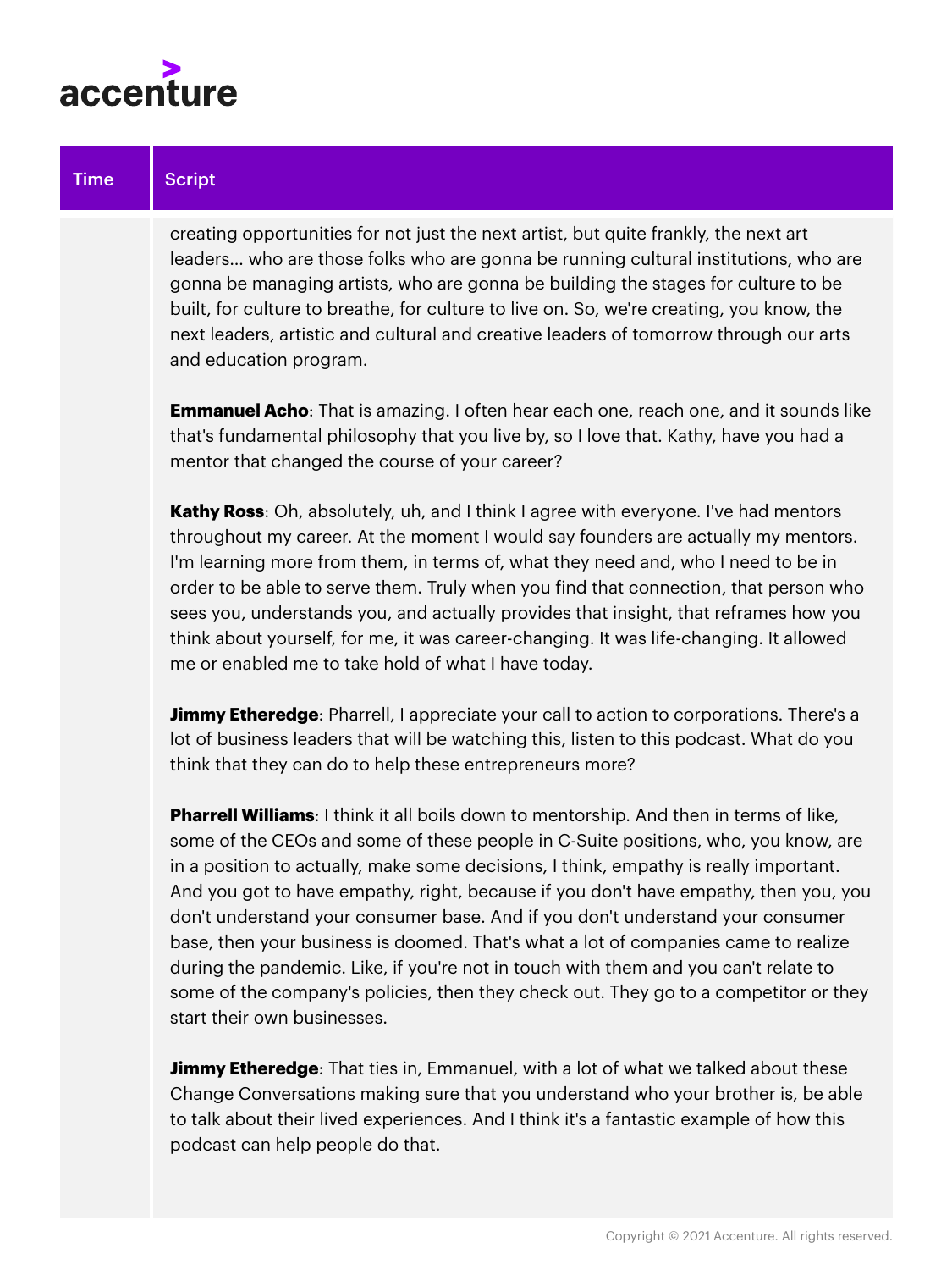

creating opportunities for not just the next artist, but quite frankly, the next art leaders… who are those folks who are gonna be running cultural institutions, who are gonna be managing artists, who are gonna be building the stages for culture to be built, for culture to breathe, for culture to live on. So, we're creating, you know, the next leaders, artistic and cultural and creative leaders of tomorrow through our arts and education program.

**Emmanuel Acho**: That is amazing. I often hear each one, reach one, and it sounds like that's fundamental philosophy that you live by, so I love that. Kathy, have you had a mentor that changed the course of your career?

**Kathy Ross**: Oh, absolutely, uh, and I think I agree with everyone. I've had mentors throughout my career. At the moment I would say founders are actually my mentors. I'm learning more from them, in terms of, what they need and, who I need to be in order to be able to serve them. Truly when you find that connection, that person who sees you, understands you, and actually provides that insight, that reframes how you think about yourself, for me, it was career-changing. It was life-changing. It allowed me or enabled me to take hold of what I have today.

**Jimmy Etheredge**: Pharrell, I appreciate your call to action to corporations. There's a lot of business leaders that will be watching this, listen to this podcast. What do you think that they can do to help these entrepreneurs more?

**Pharrell Williams**: I think it all boils down to mentorship. And then in terms of like, some of the CEOs and some of these people in C-Suite positions, who, you know, are in a position to actually, make some decisions, I think, empathy is really important. And you got to have empathy, right, because if you don't have empathy, then you, you don't understand your consumer base. And if you don't understand your consumer base, then your business is doomed. That's what a lot of companies came to realize during the pandemic. Like, if you're not in touch with them and you can't relate to some of the company's policies, then they check out. They go to a competitor or they start their own businesses.

**Jimmy Etheredge**: That ties in, Emmanuel, with a lot of what we talked about these Change Conversations making sure that you understand who your brother is, be able to talk about their lived experiences. And I think it's a fantastic example of how this podcast can help people do that.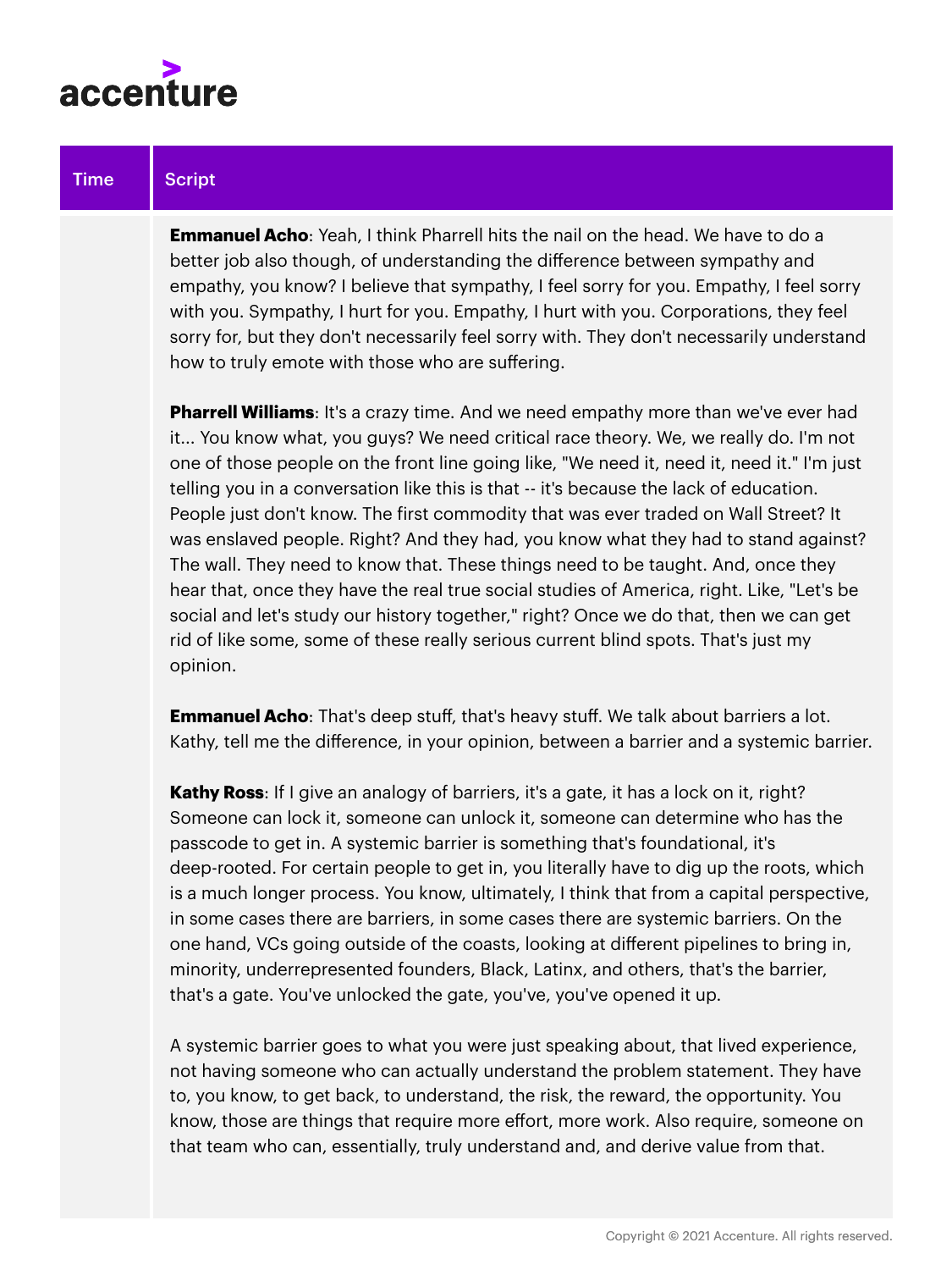

**Emmanuel Acho**: Yeah, I think Pharrell hits the nail on the head. We have to do a better job also though, of understanding the difference between sympathy and empathy, you know? I believe that sympathy, I feel sorry for you. Empathy, I feel sorry with you. Sympathy, I hurt for you. Empathy, I hurt with you. Corporations, they feel sorry for, but they don't necessarily feel sorry with. They don't necessarily understand how to truly emote with those who are suffering.

**Pharrell Williams**: It's a crazy time. And we need empathy more than we've ever had it... You know what, you guys? We need critical race theory. We, we really do. I'm not one of those people on the front line going like, "We need it, need it, need it." I'm just telling you in a conversation like this is that -- it's because the lack of education. People just don't know. The first commodity that was ever traded on Wall Street? It was enslaved people. Right? And they had, you know what they had to stand against? The wall. They need to know that. These things need to be taught. And, once they hear that, once they have the real true social studies of America, right. Like, "Let's be social and let's study our history together," right? Once we do that, then we can get rid of like some, some of these really serious current blind spots. That's just my opinion.

**Emmanuel Acho:** That's deep stuff, that's heavy stuff. We talk about barriers a lot. Kathy, tell me the difference, in your opinion, between a barrier and a systemic barrier.

**Kathy Ross**: If I give an analogy of barriers, it's a gate, it has a lock on it, right? Someone can lock it, someone can unlock it, someone can determine who has the passcode to get in. A systemic barrier is something that's foundational, it's deep-rooted. For certain people to get in, you literally have to dig up the roots, which is a much longer process. You know, ultimately, I think that from a capital perspective, in some cases there are barriers, in some cases there are systemic barriers. On the one hand, VCs going outside of the coasts, looking at different pipelines to bring in, minority, underrepresented founders, Black, Latinx, and others, that's the barrier, that's a gate. You've unlocked the gate, you've, you've opened it up.

A systemic barrier goes to what you were just speaking about, that lived experience, not having someone who can actually understand the problem statement. They have to, you know, to get back, to understand, the risk, the reward, the opportunity. You know, those are things that require more effort, more work. Also require, someone on that team who can, essentially, truly understand and, and derive value from that.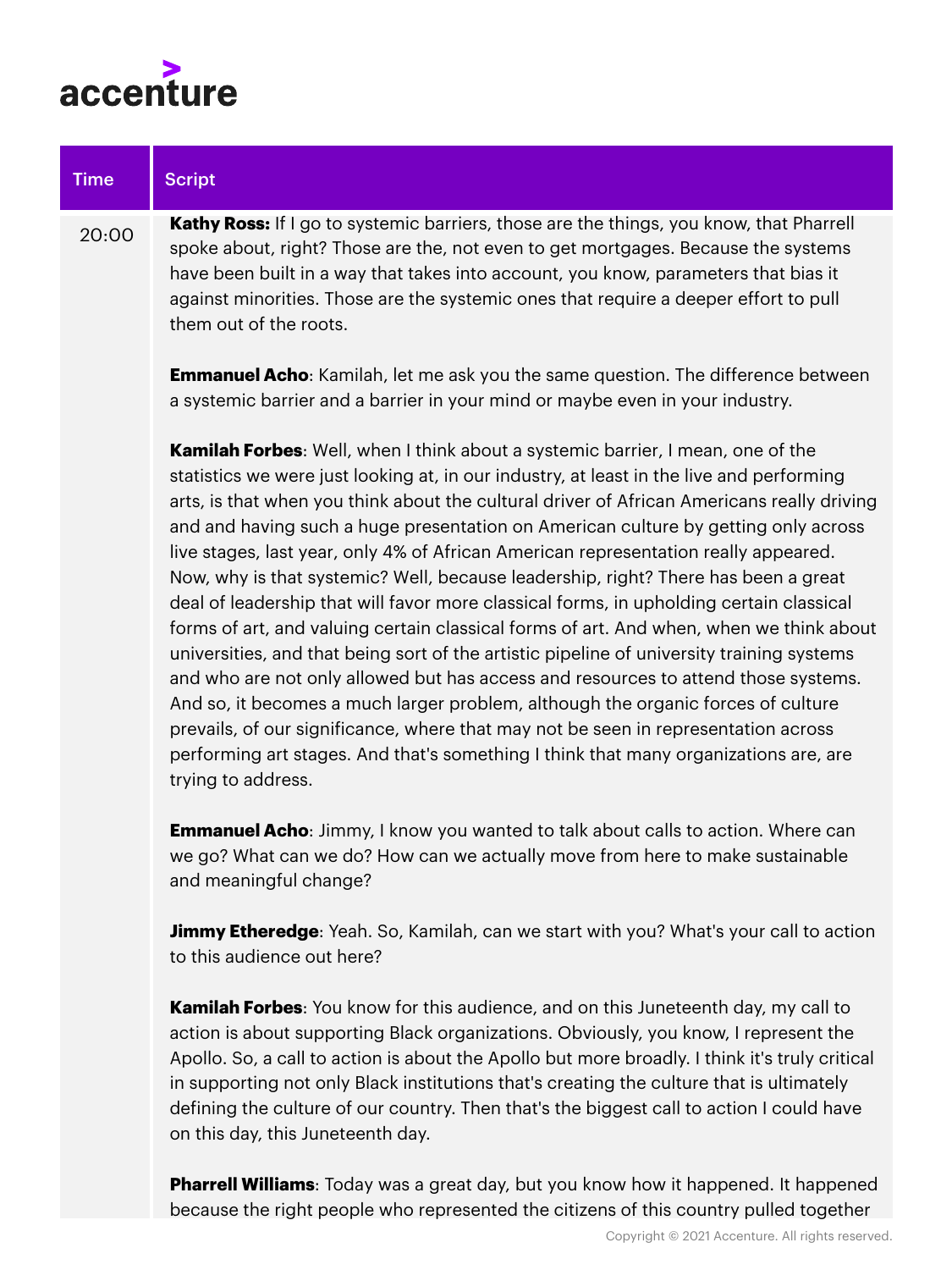

| <b>Time</b> | <b>Script</b>                                                                                                                                                                                                                                                                                                                                                                                                                                                                                                                                                                                                                                                                                                                                                                                                                                                                                                                                                                                                                                                                                                                                                                                                 |
|-------------|---------------------------------------------------------------------------------------------------------------------------------------------------------------------------------------------------------------------------------------------------------------------------------------------------------------------------------------------------------------------------------------------------------------------------------------------------------------------------------------------------------------------------------------------------------------------------------------------------------------------------------------------------------------------------------------------------------------------------------------------------------------------------------------------------------------------------------------------------------------------------------------------------------------------------------------------------------------------------------------------------------------------------------------------------------------------------------------------------------------------------------------------------------------------------------------------------------------|
| 20:00       | Kathy Ross: If I go to systemic barriers, those are the things, you know, that Pharrell<br>spoke about, right? Those are the, not even to get mortgages. Because the systems<br>have been built in a way that takes into account, you know, parameters that bias it<br>against minorities. Those are the systemic ones that require a deeper effort to pull<br>them out of the roots.                                                                                                                                                                                                                                                                                                                                                                                                                                                                                                                                                                                                                                                                                                                                                                                                                         |
|             | <b>Emmanuel Acho:</b> Kamilah, let me ask you the same question. The difference between<br>a systemic barrier and a barrier in your mind or maybe even in your industry.                                                                                                                                                                                                                                                                                                                                                                                                                                                                                                                                                                                                                                                                                                                                                                                                                                                                                                                                                                                                                                      |
|             | Kamilah Forbes: Well, when I think about a systemic barrier, I mean, one of the<br>statistics we were just looking at, in our industry, at least in the live and performing<br>arts, is that when you think about the cultural driver of African Americans really driving<br>and and having such a huge presentation on American culture by getting only across<br>live stages, last year, only 4% of African American representation really appeared.<br>Now, why is that systemic? Well, because leadership, right? There has been a great<br>deal of leadership that will favor more classical forms, in upholding certain classical<br>forms of art, and valuing certain classical forms of art. And when, when we think about<br>universities, and that being sort of the artistic pipeline of university training systems<br>and who are not only allowed but has access and resources to attend those systems.<br>And so, it becomes a much larger problem, although the organic forces of culture<br>prevails, of our significance, where that may not be seen in representation across<br>performing art stages. And that's something I think that many organizations are, are<br>trying to address. |
|             | <b>Emmanuel Acho:</b> Jimmy, I know you wanted to talk about calls to action. Where can<br>we go? What can we do? How can we actually move from here to make sustainable<br>and meaningful change?                                                                                                                                                                                                                                                                                                                                                                                                                                                                                                                                                                                                                                                                                                                                                                                                                                                                                                                                                                                                            |
|             | Jimmy Etheredge: Yeah. So, Kamilah, can we start with you? What's your call to action<br>to this audience out here?                                                                                                                                                                                                                                                                                                                                                                                                                                                                                                                                                                                                                                                                                                                                                                                                                                                                                                                                                                                                                                                                                           |
|             | Kamilah Forbes: You know for this audience, and on this Juneteenth day, my call to<br>action is about supporting Black organizations. Obviously, you know, I represent the                                                                                                                                                                                                                                                                                                                                                                                                                                                                                                                                                                                                                                                                                                                                                                                                                                                                                                                                                                                                                                    |

Apollo. So, a call to action is about the Apollo but more broadly. I think it's truly critical in supporting not only Black institutions that's creating the culture that is ultimately defining the culture of our country. Then that's the biggest call to action I could have on this day, this Juneteenth day.

**Pharrell Williams**: Today was a great day, but you know how it happened. It happened because the right people who represented the citizens of this country pulled together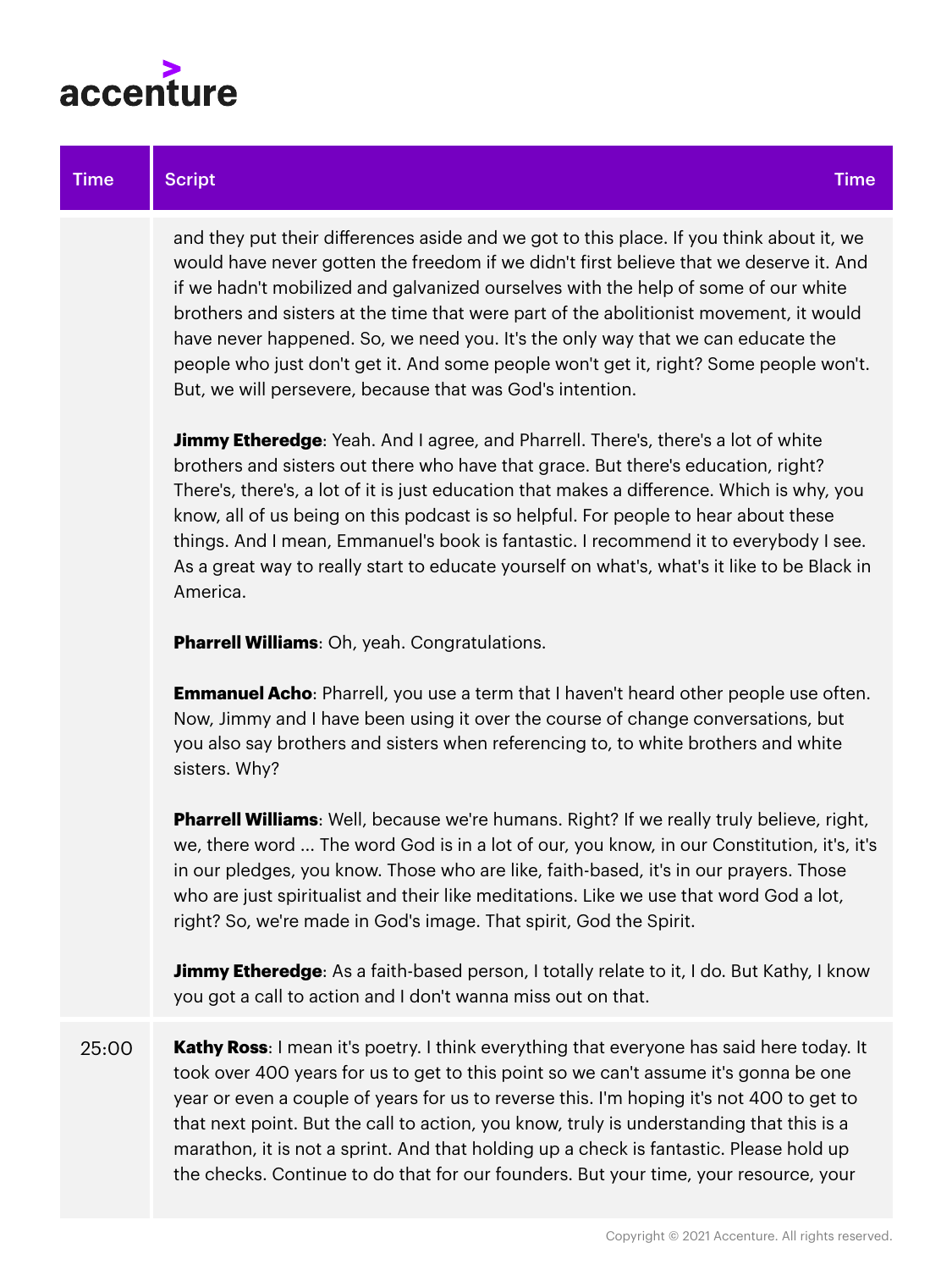

#### Time Script Time Script Time Script Time Script Time Script Time Script Time Scri

and they put their differences aside and we got to this place. If you think about it, we would have never gotten the freedom if we didn't first believe that we deserve it. And if we hadn't mobilized and galvanized ourselves with the help of some of our white brothers and sisters at the time that were part of the abolitionist movement, it would have never happened. So, we need you. It's the only way that we can educate the people who just don't get it. And some people won't get it, right? Some people won't. But, we will persevere, because that was God's intention.

**Jimmy Etheredge**: Yeah. And I agree, and Pharrell. There's, there's a lot of white brothers and sisters out there who have that grace. But there's education, right? There's, there's, a lot of it is just education that makes a difference. Which is why, you know, all of us being on this podcast is so helpful. For people to hear about these things. And I mean, Emmanuel's book is fantastic. I recommend it to everybody I see. As a great way to really start to educate yourself on what's, what's it like to be Black in America.

**Pharrell Williams**: Oh, yeah. Congratulations.

**Emmanuel Acho**: Pharrell, you use a term that I haven't heard other people use often. Now, Jimmy and I have been using it over the course of change conversations, but you also say brothers and sisters when referencing to, to white brothers and white sisters. Why?

**Pharrell Williams**: Well, because we're humans. Right? If we really truly believe, right, we, there word ... The word God is in a lot of our, you know, in our Constitution, it's, it's in our pledges, you know. Those who are like, faith-based, it's in our prayers. Those who are just spiritualist and their like meditations. Like we use that word God a lot, right? So, we're made in God's image. That spirit, God the Spirit.

**Jimmy Etheredge**: As a faith-based person, I totally relate to it, I do. But Kathy, I know you got a call to action and I don't wanna miss out on that.

25:00 **Kathy Ross**: I mean it's poetry. I think everything that everyone has said here today. It took over 400 years for us to get to this point so we can't assume it's gonna be one year or even a couple of years for us to reverse this. I'm hoping it's not 400 to get to that next point. But the call to action, you know, truly is understanding that this is a marathon, it is not a sprint. And that holding up a check is fantastic. Please hold up the checks. Continue to do that for our founders. But your time, your resource, your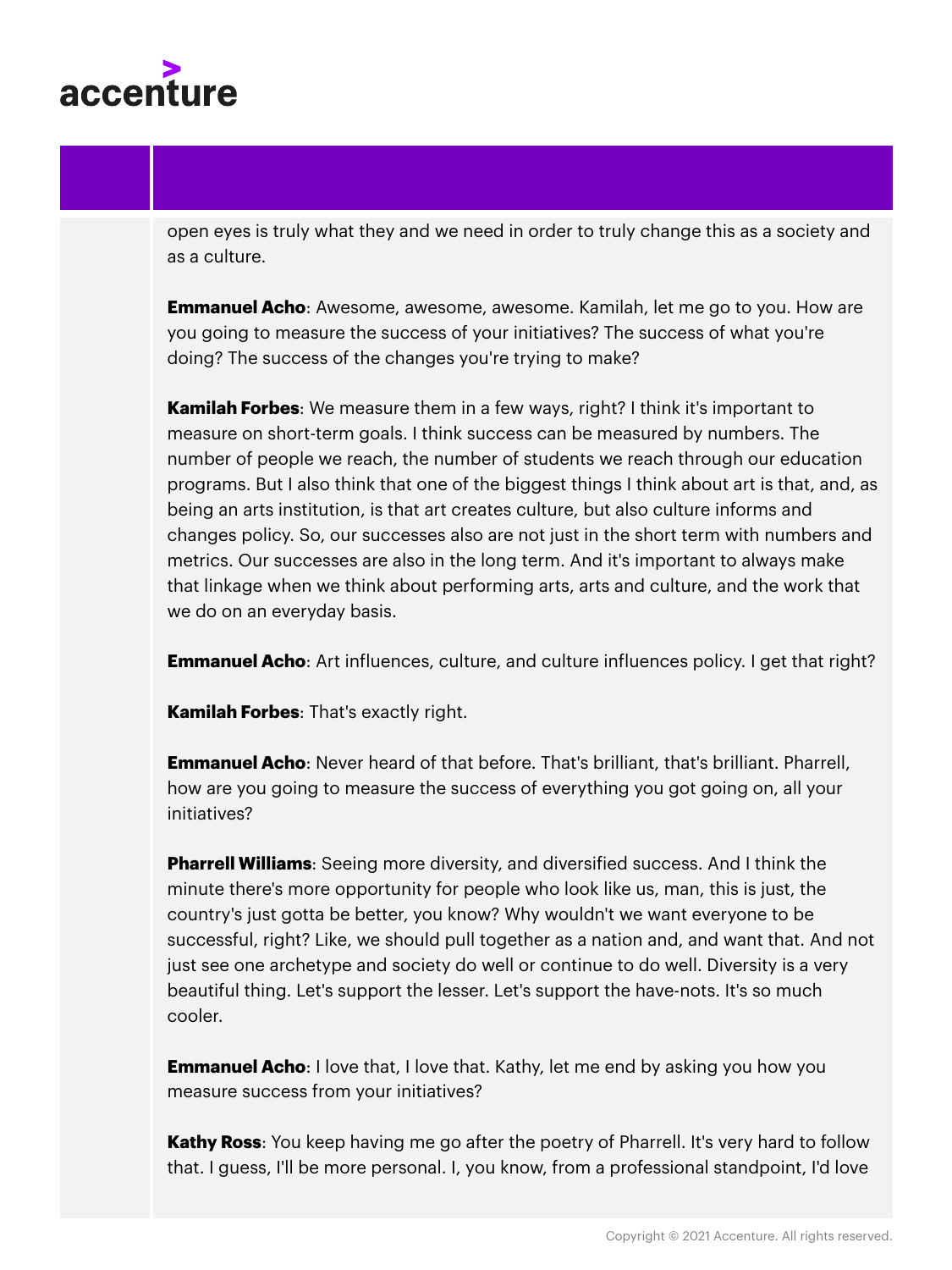

open eyes is truly what they and we need in order to truly change this as a society and as a culture.

**Emmanuel Acho**: Awesome, awesome, awesome. Kamilah, let me go to you. How are you going to measure the success of your initiatives? The success of what you're doing? The success of the changes you're trying to make?

**Kamilah Forbes**: We measure them in a few ways, right? I think it's important to measure on short-term goals. I think success can be measured by numbers. The number of people we reach, the number of students we reach through our education programs. But I also think that one of the biggest things I think about art is that, and, as being an arts institution, is that art creates culture, but also culture informs and changes policy. So, our successes also are not just in the short term with numbers and metrics. Our successes are also in the long term. And it's important to always make that linkage when we think about performing arts, arts and culture, and the work that we do on an everyday basis.

**Emmanuel Acho**: Art influences, culture, and culture influences policy. I get that right?

**Kamilah Forbes**: That's exactly right.

**Emmanuel Acho**: Never heard of that before. That's brilliant, that's brilliant. Pharrell, how are you going to measure the success of everything you got going on, all your initiatives?

**Pharrell Williams**: Seeing more diversity, and diversified success. And I think the minute there's more opportunity for people who look like us, man, this is just, the country's just gotta be better, you know? Why wouldn't we want everyone to be successful, right? Like, we should pull together as a nation and, and want that. And not just see one archetype and society do well or continue to do well. Diversity is a very beautiful thing. Let's support the lesser. Let's support the have-nots. It's so much cooler.

**Emmanuel Acho:** I love that, I love that. Kathy, let me end by asking you how you measure success from your initiatives?

**Kathy Ross**: You keep having me go after the poetry of Pharrell. It's very hard to follow that. I guess, I'll be more personal. I, you know, from a professional standpoint, I'd love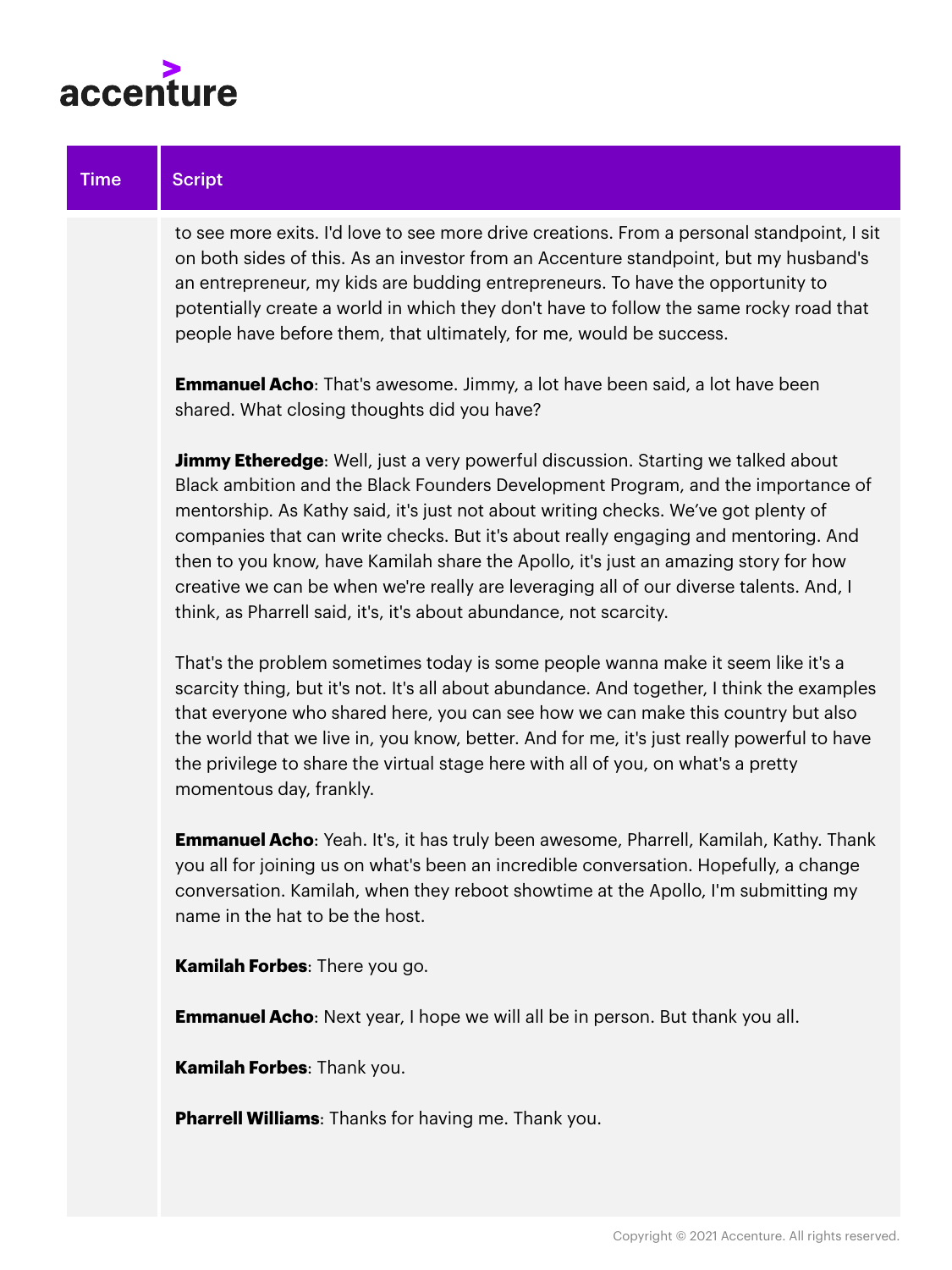

to see more exits. I'd love to see more drive creations. From a personal standpoint, I sit on both sides of this. As an investor from an Accenture standpoint, but my husband's an entrepreneur, my kids are budding entrepreneurs. To have the opportunity to potentially create a world in which they don't have to follow the same rocky road that people have before them, that ultimately, for me, would be success.

**Emmanuel Acho**: That's awesome. Jimmy, a lot have been said, a lot have been shared. What closing thoughts did you have?

**Jimmy Etheredge**: Well, just a very powerful discussion. Starting we talked about Black ambition and the Black Founders Development Program, and the importance of mentorship. As Kathy said, it's just not about writing checks. We've got plenty of companies that can write checks. But it's about really engaging and mentoring. And then to you know, have Kamilah share the Apollo, it's just an amazing story for how creative we can be when we're really are leveraging all of our diverse talents. And, I think, as Pharrell said, it's, it's about abundance, not scarcity.

That's the problem sometimes today is some people wanna make it seem like it's a scarcity thing, but it's not. It's all about abundance. And together, I think the examples that everyone who shared here, you can see how we can make this country but also the world that we live in, you know, better. And for me, it's just really powerful to have the privilege to share the virtual stage here with all of you, on what's a pretty momentous day, frankly.

**Emmanuel Acho**: Yeah. It's, it has truly been awesome, Pharrell, Kamilah, Kathy. Thank you all for joining us on what's been an incredible conversation. Hopefully, a change conversation. Kamilah, when they reboot showtime at the Apollo, I'm submitting my name in the hat to be the host.

**Kamilah Forbes**: There you go.

**Emmanuel Acho**: Next year, I hope we will all be in person. But thank you all.

**Kamilah Forbes**: Thank you.

**Pharrell Williams**: Thanks for having me. Thank you.